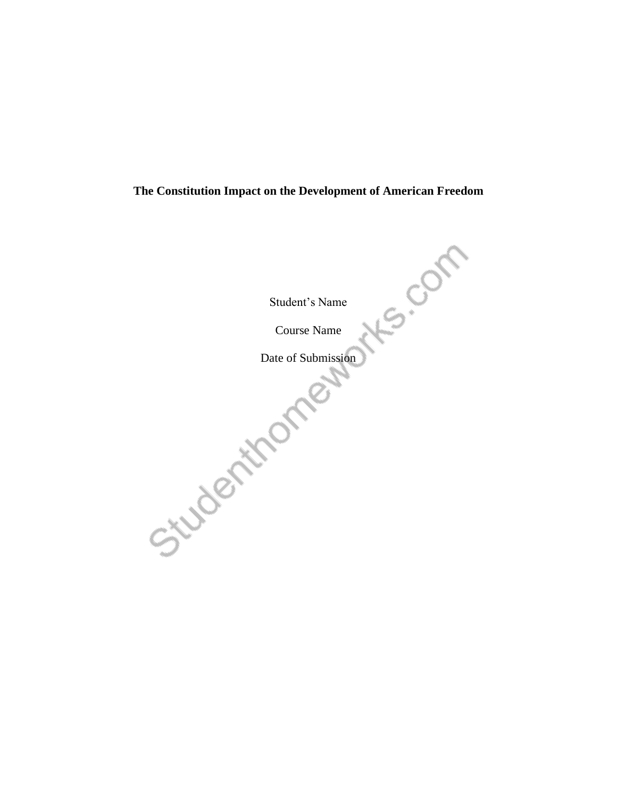## **The Constitution Impact on the Development of American Freedom**

Student's Name Course Name Date of Submission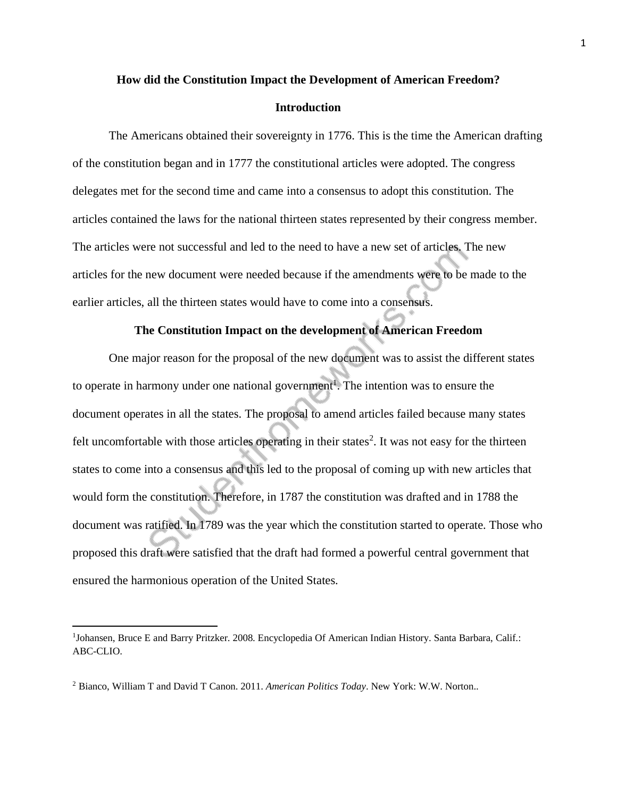## **How did the Constitution Impact the Development of American Freedom? Introduction**

The Americans obtained their sovereignty in 1776. This is the time the American drafting of the constitution began and in 1777 the constitutional articles were adopted. The congress delegates met for the second time and came into a consensus to adopt this constitution. The articles contained the laws for the national thirteen states represented by their congress member. The articles were not successful and led to the need to have a new set of articles. The new articles for the new document were needed because if the amendments were to be made to the earlier articles, all the thirteen states would have to come into a consensus.

## **The Constitution Impact on the development of American Freedom**

One major reason for the proposal of the new document was to assist the different states to operate in harmony under one national government<sup>1</sup>. The intention was to ensure the document operates in all the states. The proposal to amend articles failed because many states felt uncomfortable with those articles operating in their states<sup>2</sup>. It was not easy for the thirteen states to come into a consensus and this led to the proposal of coming up with new articles that would form the constitution. Therefore, in 1787 the constitution was drafted and in 1788 the document was ratified. In 1789 was the year which the constitution started to operate. Those who proposed this draft were satisfied that the draft had formed a powerful central government that ensured the harmonious operation of the United States.

<sup>&</sup>lt;sup>1</sup>Johansen, Bruce E and Barry Pritzker. 2008. Encyclopedia Of American Indian History. Santa Barbara, Calif.: ABC-CLIO.

<sup>2</sup> Bianco, William T and David T Canon. 2011. *American Politics Today*. New York: W.W. Norton..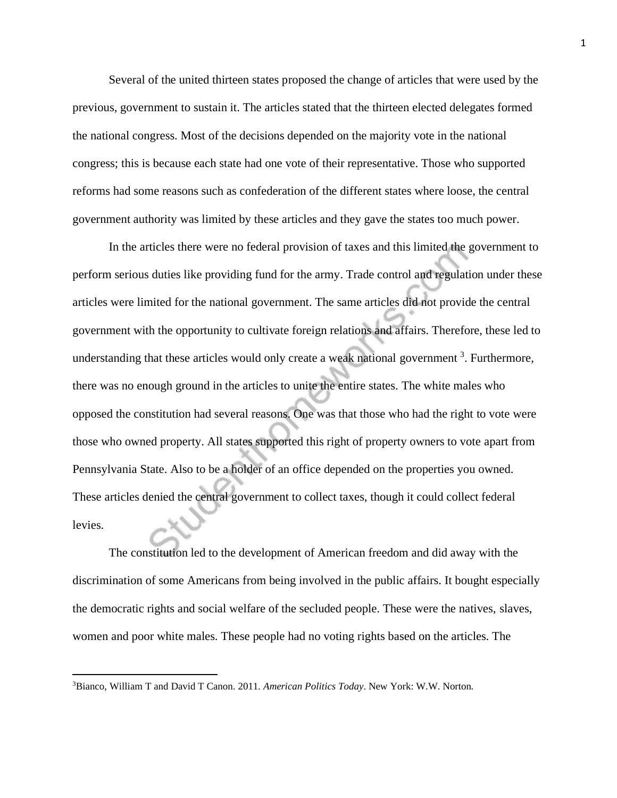Several of the united thirteen states proposed the change of articles that were used by the previous, government to sustain it. The articles stated that the thirteen elected delegates formed the national congress. Most of the decisions depended on the majority vote in the national congress; this is because each state had one vote of their representative. Those who supported reforms had some reasons such as confederation of the different states where loose, the central government authority was limited by these articles and they gave the states too much power.

In the articles there were no federal provision of taxes and this limited the government to perform serious duties like providing fund for the army. Trade control and regulation under these articles were limited for the national government. The same articles did not provide the central government with the opportunity to cultivate foreign relations and affairs. Therefore, these led to understanding that these articles would only create a weak national government<sup>3</sup>. Furthermore, there was no enough ground in the articles to unite the entire states. The white males who opposed the constitution had several reasons. One was that those who had the right to vote were those who owned property. All states supported this right of property owners to vote apart from Pennsylvania State. Also to be a holder of an office depended on the properties you owned. These articles denied the central government to collect taxes, though it could collect federal levies.

The constitution led to the development of American freedom and did away with the discrimination of some Americans from being involved in the public affairs. It bought especially the democratic rights and social welfare of the secluded people. These were the natives, slaves, women and poor white males. These people had no voting rights based on the articles. The

<sup>3</sup>Bianco, William T and David T Canon. 2011. *American Politics Today*. New York: W.W. Norton.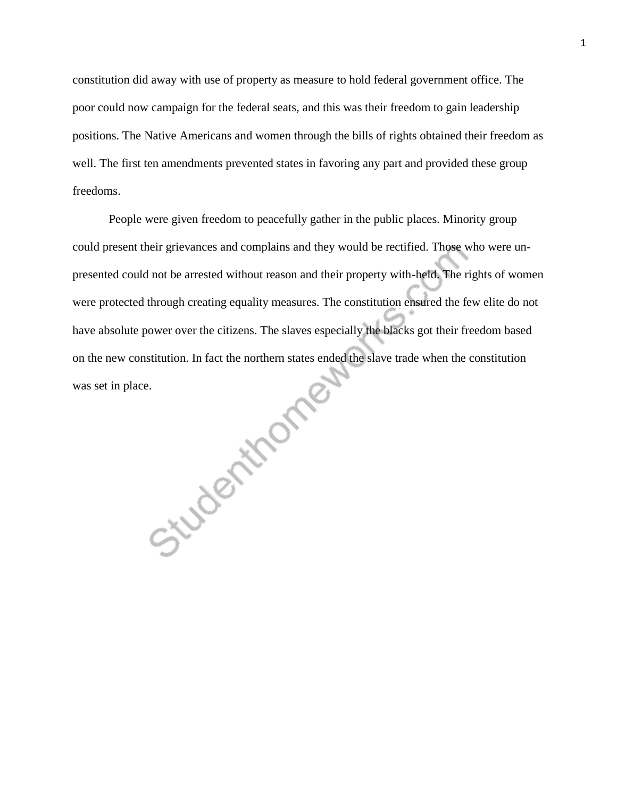constitution did away with use of property as measure to hold federal government office. The poor could now campaign for the federal seats, and this was their freedom to gain leadership positions. The Native Americans and women through the bills of rights obtained their freedom as well. The first ten amendments prevented states in favoring any part and provided these group freedoms.

People were given freedom to peacefully gather in the public places. Minority group could present their grievances and complains and they would be rectified. Those who were unpresented could not be arrested without reason and their property with-held. The rights of women were protected through creating equality measures. The constitution ensured the few elite do not have absolute power over the citizens. The slaves especially the blacks got their freedom based was set in place.

on the new constitution. In fact the northern states ended the slave trade when the constitution<br>was set in place.